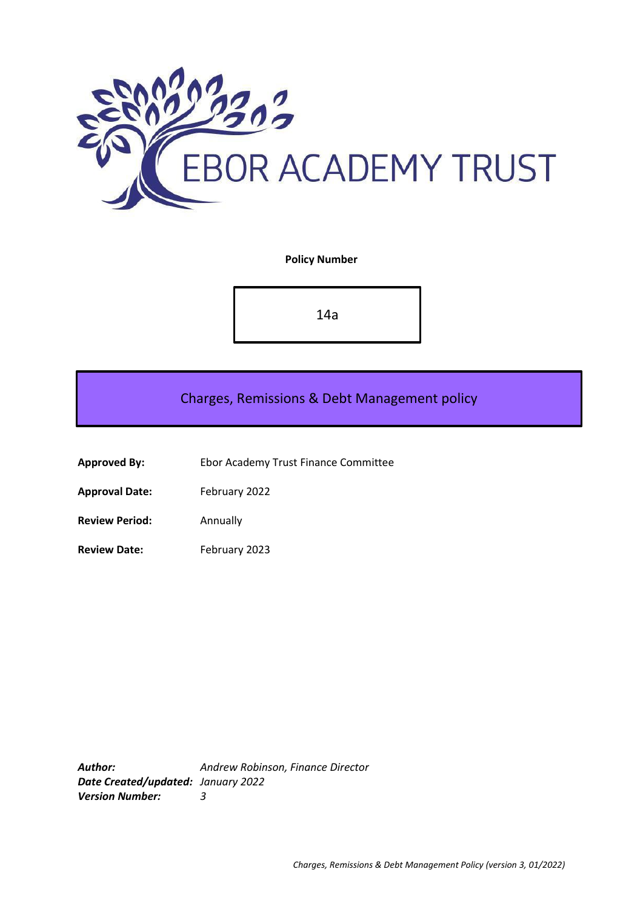

**Policy Number**

14a

Charges, Remissions & Debt Management policy

- **Approved By:** Ebor Academy Trust Finance Committee
- **Approval Date:** February 2022
- **Review Period:** Annually
- **Review Date:** February 2023

*Author: Andrew Robinson, Finance Director Date Created/updated: January 2022 Version Number: 3*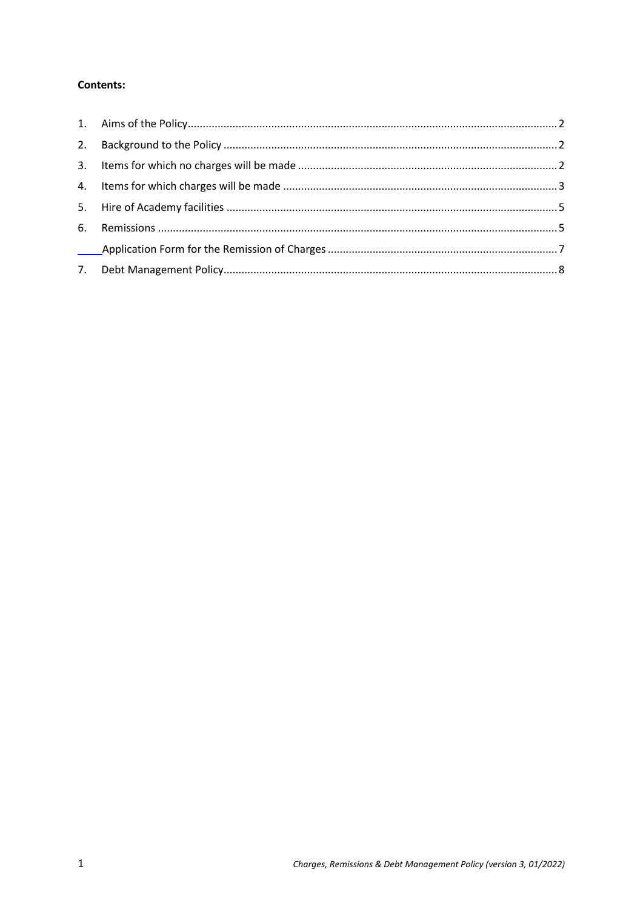## **Contents:**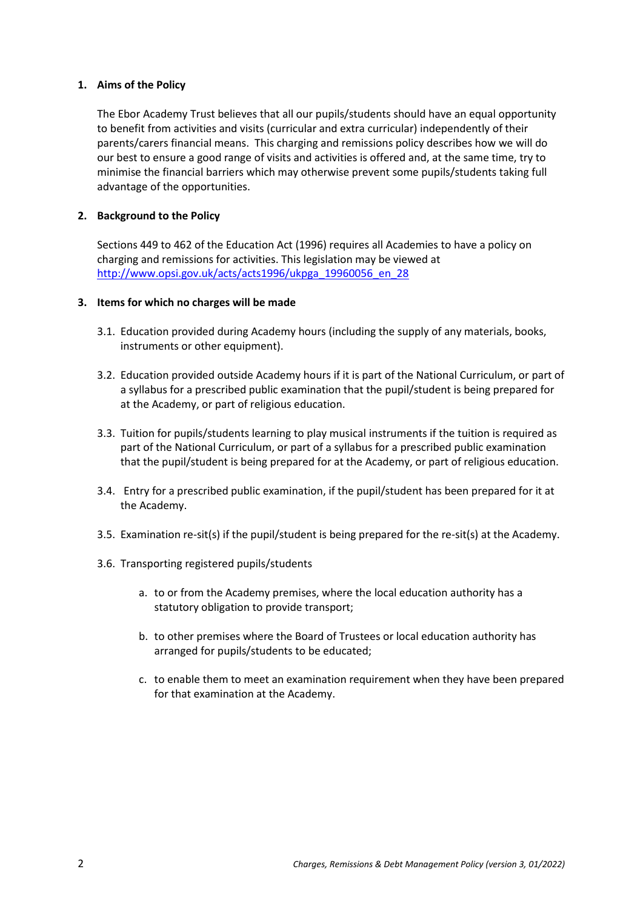### <span id="page-2-0"></span>**1. Aims of the Policy**

The Ebor Academy Trust believes that all our pupils/students should have an equal opportunity to benefit from activities and visits (curricular and extra curricular) independently of their parents/carers financial means. This charging and remissions policy describes how we will do our best to ensure a good range of visits and activities is offered and, at the same time, try to minimise the financial barriers which may otherwise prevent some pupils/students taking full advantage of the opportunities.

#### <span id="page-2-1"></span>**2. Background to the Policy**

Sections 449 to 462 of the Education Act (1996) requires all Academies to have a policy on charging and remissions for activities. This legislation may be viewed at [http://www.opsi.gov.uk/acts/acts1996/ukpga\\_19960056\\_en\\_28](http://www.opsi.gov.uk/acts/acts1996/ukpga_19960056_en_28)

#### <span id="page-2-2"></span>**3. Items for which no charges will be made**

- 3.1. Education provided during Academy hours (including the supply of any materials, books, instruments or other equipment).
- 3.2. Education provided outside Academy hours if it is part of the National Curriculum, or part of a syllabus for a prescribed public examination that the pupil/student is being prepared for at the Academy, or part of religious education.
- 3.3. Tuition for pupils/students learning to play musical instruments if the tuition is required as part of the National Curriculum, or part of a syllabus for a prescribed public examination that the pupil/student is being prepared for at the Academy, or part of religious education.
- 3.4. Entry for a prescribed public examination, if the pupil/student has been prepared for it at the Academy.
- 3.5. Examination re-sit(s) if the pupil/student is being prepared for the re-sit(s) at the Academy.
- 3.6. Transporting registered pupils/students
	- a. to or from the Academy premises, where the local education authority has a statutory obligation to provide transport;
	- b. to other premises where the Board of Trustees or local education authority has arranged for pupils/students to be educated;
	- c. to enable them to meet an examination requirement when they have been prepared for that examination at the Academy.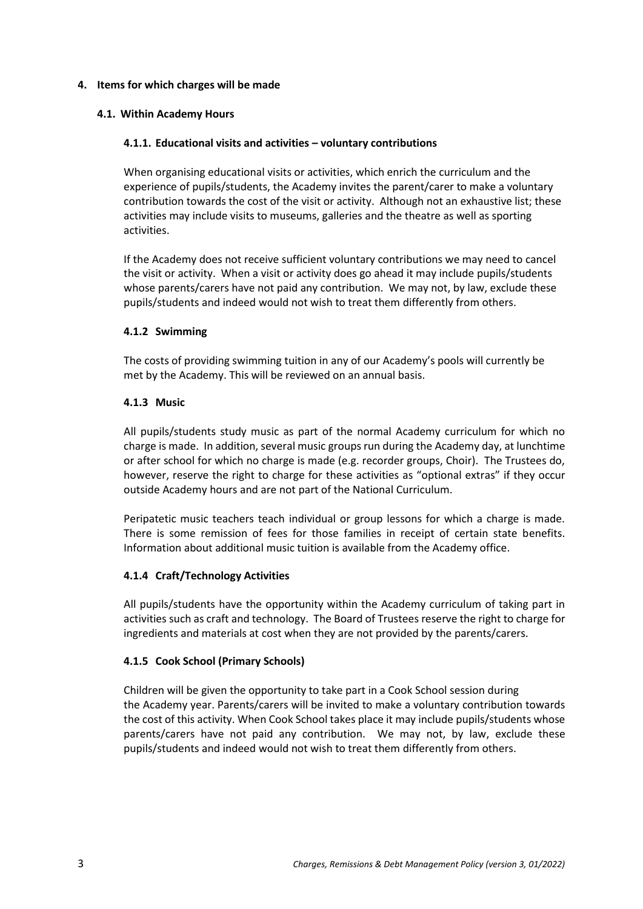### <span id="page-3-0"></span>**4. Items for which charges will be made**

### **4.1. Within Academy Hours**

#### **4.1.1. Educational visits and activities – voluntary contributions**

When organising educational visits or activities, which enrich the curriculum and the experience of pupils/students, the Academy invites the parent/carer to make a voluntary contribution towards the cost of the visit or activity. Although not an exhaustive list; these activities may include visits to museums, galleries and the theatre as well as sporting activities.

If the Academy does not receive sufficient voluntary contributions we may need to cancel the visit or activity. When a visit or activity does go ahead it may include pupils/students whose parents/carers have not paid any contribution. We may not, by law, exclude these pupils/students and indeed would not wish to treat them differently from others.

#### **4.1.2 Swimming**

The costs of providing swimming tuition in any of our Academy's pools will currently be met by the Academy. This will be reviewed on an annual basis.

#### **4.1.3 Music**

All pupils/students study music as part of the normal Academy curriculum for which no charge is made. In addition, several music groups run during the Academy day, at lunchtime or after school for which no charge is made (e.g. recorder groups, Choir). The Trustees do, however, reserve the right to charge for these activities as "optional extras" if they occur outside Academy hours and are not part of the National Curriculum.

Peripatetic music teachers teach individual or group lessons for which a charge is made. There is some remission of fees for those families in receipt of certain state benefits. Information about additional music tuition is available from the Academy office.

### **4.1.4 Craft/Technology Activities**

All pupils/students have the opportunity within the Academy curriculum of taking part in activities such as craft and technology. The Board of Trustees reserve the right to charge for ingredients and materials at cost when they are not provided by the parents/carers.

### **4.1.5 Cook School (Primary Schools)**

Children will be given the opportunity to take part in a Cook School session during the Academy year. Parents/carers will be invited to make a voluntary contribution towards the cost of this activity. When Cook School takes place it may include pupils/students whose parents/carers have not paid any contribution. We may not, by law, exclude these pupils/students and indeed would not wish to treat them differently from others.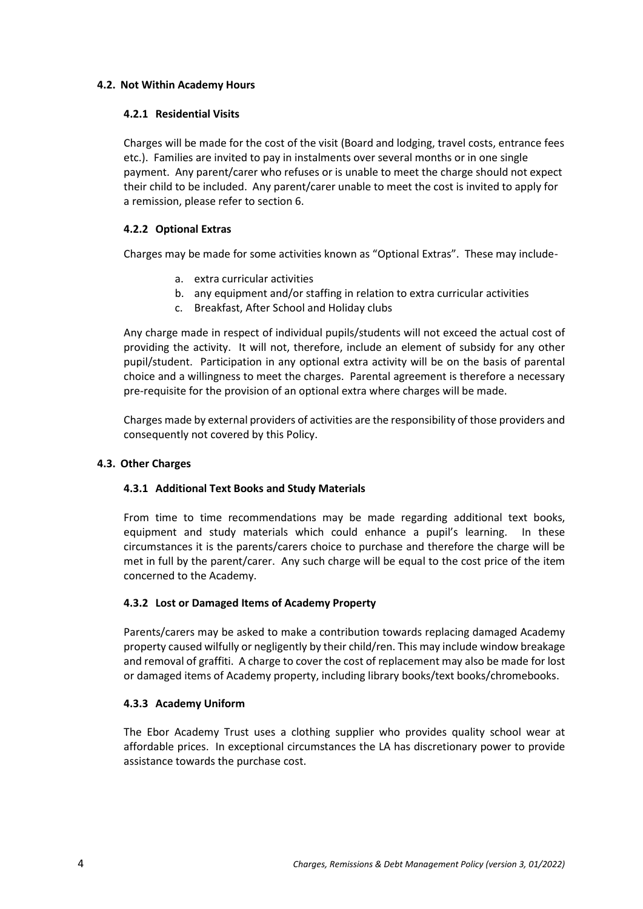### **4.2. Not Within Academy Hours**

### **4.2.1 Residential Visits**

Charges will be made for the cost of the visit (Board and lodging, travel costs, entrance fees etc.). Families are invited to pay in instalments over several months or in one single payment. Any parent/carer who refuses or is unable to meet the charge should not expect their child to be included. Any parent/carer unable to meet the cost is invited to apply for a remission, please refer to section 6.

### **4.2.2 Optional Extras**

Charges may be made for some activities known as "Optional Extras". These may include-

- a. extra curricular activities
- b. any equipment and/or staffing in relation to extra curricular activities
- c. Breakfast, After School and Holiday clubs

Any charge made in respect of individual pupils/students will not exceed the actual cost of providing the activity. It will not, therefore, include an element of subsidy for any other pupil/student. Participation in any optional extra activity will be on the basis of parental choice and a willingness to meet the charges. Parental agreement is therefore a necessary pre-requisite for the provision of an optional extra where charges will be made.

Charges made by external providers of activities are the responsibility of those providers and consequently not covered by this Policy.

## **4.3. Other Charges**

## **4.3.1 Additional Text Books and Study Materials**

From time to time recommendations may be made regarding additional text books, equipment and study materials which could enhance a pupil's learning. In these circumstances it is the parents/carers choice to purchase and therefore the charge will be met in full by the parent/carer. Any such charge will be equal to the cost price of the item concerned to the Academy.

### **4.3.2 Lost or Damaged Items of Academy Property**

Parents/carers may be asked to make a contribution towards replacing damaged Academy property caused wilfully or negligently by their child/ren. This may include window breakage and removal of graffiti. A charge to cover the cost of replacement may also be made for lost or damaged items of Academy property, including library books/text books/chromebooks.

### **4.3.3 Academy Uniform**

The Ebor Academy Trust uses a clothing supplier who provides quality school wear at affordable prices. In exceptional circumstances the LA has discretionary power to provide assistance towards the purchase cost.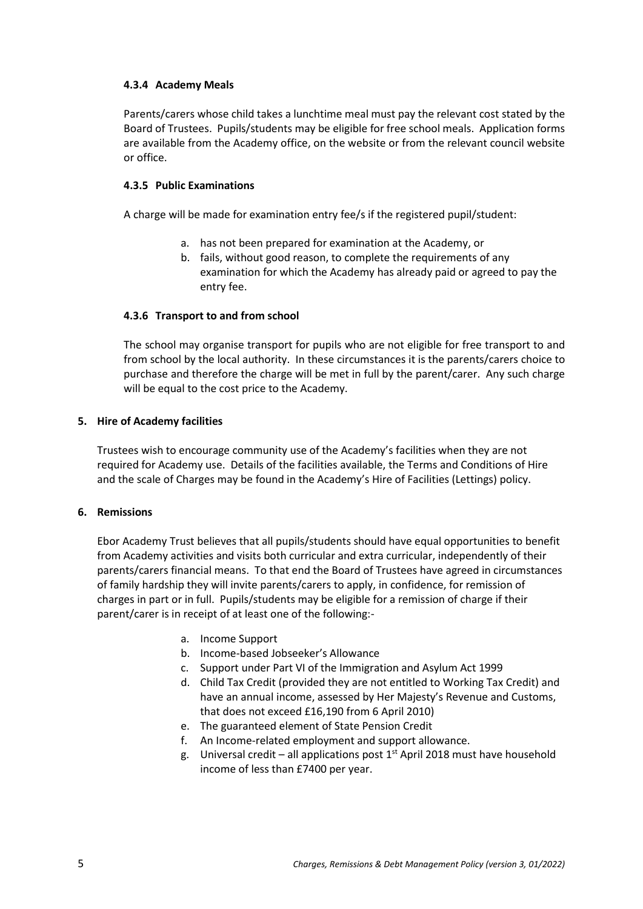### **4.3.4 Academy Meals**

Parents/carers whose child takes a lunchtime meal must pay the relevant cost stated by the Board of Trustees. Pupils/students may be eligible for free school meals. Application forms are available from the Academy office, on the website or from the relevant council website or office.

### **4.3.5 Public Examinations**

A charge will be made for examination entry fee/s if the registered pupil/student:

- a. has not been prepared for examination at the Academy, or
- b. fails, without good reason, to complete the requirements of any examination for which the Academy has already paid or agreed to pay the entry fee.

### **4.3.6 Transport to and from school**

The school may organise transport for pupils who are not eligible for free transport to and from school by the local authority. In these circumstances it is the parents/carers choice to purchase and therefore the charge will be met in full by the parent/carer. Any such charge will be equal to the cost price to the Academy.

### <span id="page-5-0"></span>**5. Hire of Academy facilities**

Trustees wish to encourage community use of the Academy's facilities when they are not required for Academy use. Details of the facilities available, the Terms and Conditions of Hire and the scale of Charges may be found in the Academy's Hire of Facilities (Lettings) policy.

### <span id="page-5-1"></span>**6. Remissions**

Ebor Academy Trust believes that all pupils/students should have equal opportunities to benefit from Academy activities and visits both curricular and extra curricular, independently of their parents/carers financial means. To that end the Board of Trustees have agreed in circumstances of family hardship they will invite parents/carers to apply, in confidence, for remission of charges in part or in full. Pupils/students may be eligible for a remission of charge if their parent/carer is in receipt of at least one of the following:-

- a. Income Support
- b. Income-based Jobseeker's Allowance
- c. Support under Part VI of the Immigration and Asylum Act 1999
- d. Child Tax Credit (provided they are not entitled to Working Tax Credit) and have an annual income, assessed by Her Majesty's Revenue and Customs, that does not exceed £16,190 from 6 April 2010)
- e. The guaranteed element of State Pension Credit
- f. An Income-related employment and support allowance.
- g. Universal credit all applications post  $1<sup>st</sup>$  April 2018 must have household income of less than £7400 per year.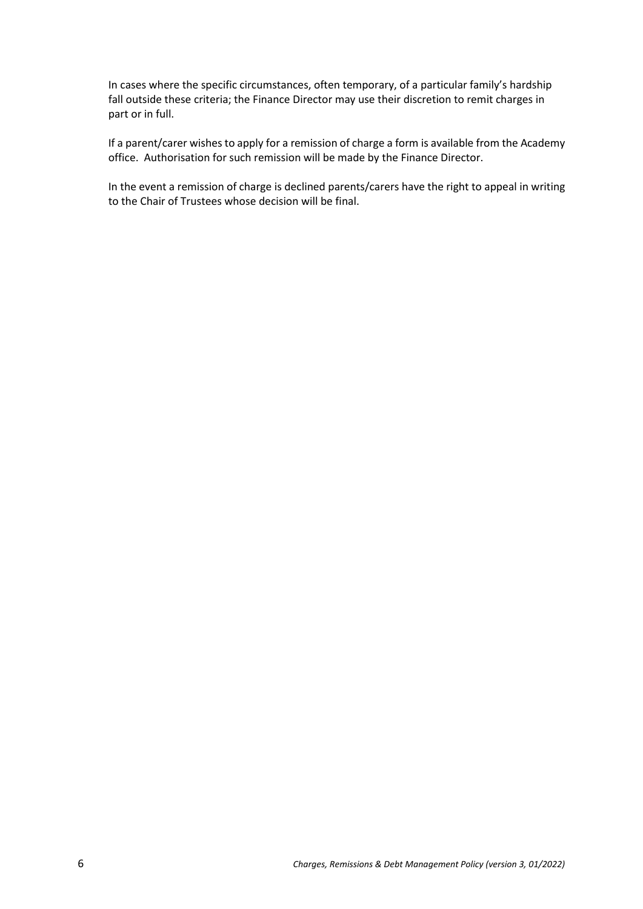In cases where the specific circumstances, often temporary, of a particular family's hardship fall outside these criteria; the Finance Director may use their discretion to remit charges in part or in full.

If a parent/carer wishes to apply for a remission of charge a form is available from the Academy office. Authorisation for such remission will be made by the Finance Director.

In the event a remission of charge is declined parents/carers have the right to appeal in writing to the Chair of Trustees whose decision will be final.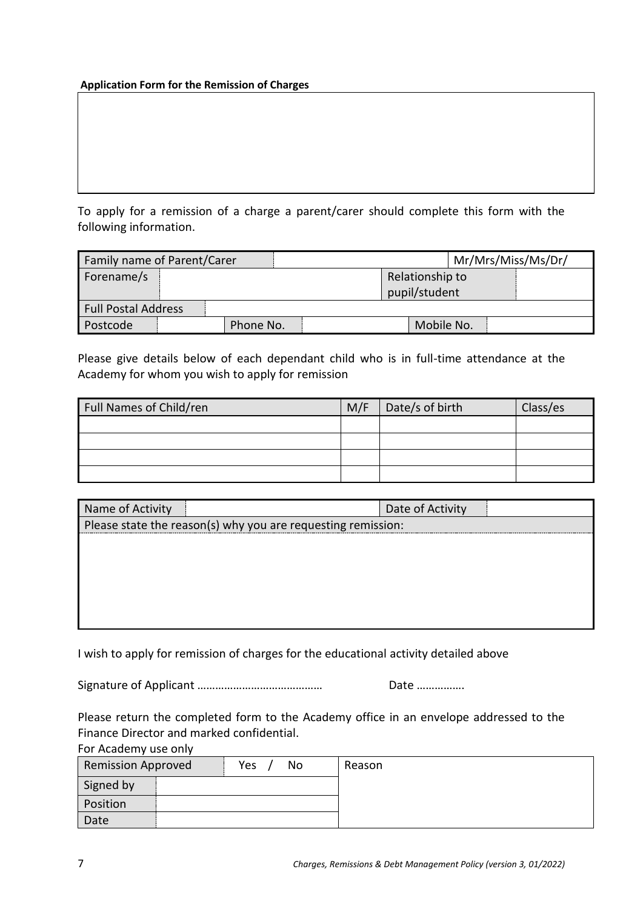### <span id="page-7-0"></span>**Application Form for the Remission of Charges**

.

To apply for a remission of a charge a parent/carer should complete this form with the following information.

| Mr/Mrs/Miss/Ms/Dr/<br>Family name of Parent/Carer |  |           |  |                 |  |  |
|---------------------------------------------------|--|-----------|--|-----------------|--|--|
| Forename/s                                        |  |           |  | Relationship to |  |  |
|                                                   |  |           |  | pupil/student   |  |  |
| <b>Full Postal Address</b>                        |  |           |  |                 |  |  |
| Postcode                                          |  | Phone No. |  | Mobile No.      |  |  |

Please give details below of each dependant child who is in full-time attendance at the Academy for whom you wish to apply for remission

| Full Names of Child/ren | M/F | Date/s of birth | Class/es |
|-------------------------|-----|-----------------|----------|
|                         |     |                 |          |
|                         |     |                 |          |
|                         |     |                 |          |
|                         |     |                 |          |

| Name of Activity                                             | Date of Activity |  |  |  |
|--------------------------------------------------------------|------------------|--|--|--|
| Please state the reason(s) why you are requesting remission: |                  |  |  |  |
|                                                              |                  |  |  |  |
|                                                              |                  |  |  |  |
|                                                              |                  |  |  |  |
|                                                              |                  |  |  |  |
|                                                              |                  |  |  |  |
|                                                              |                  |  |  |  |

I wish to apply for remission of charges for the educational activity detailed above

Signature of Applicant …………………………………… Date …………….

Please return the completed form to the Academy office in an envelope addressed to the Finance Director and marked confidential. For Academy use only

| <b>POIL</b> ACCOUNTING COLLIN |  |           |  |        |  |
|-------------------------------|--|-----------|--|--------|--|
| <b>Remission Approved</b>     |  | Yes<br>No |  | Reason |  |
| Signed by                     |  |           |  |        |  |
| Position                      |  |           |  |        |  |
| Date                          |  |           |  |        |  |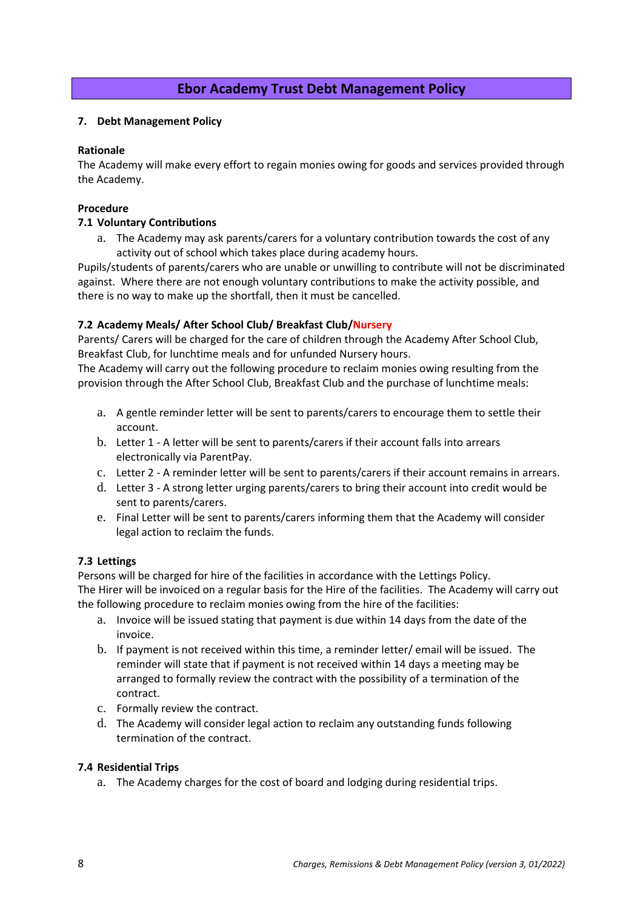# **Ebor Academy Trust Debt Management Policy**

### <span id="page-8-0"></span>**7. Debt Management Policy**

### **Rationale**

The Academy will make every effort to regain monies owing for goods and services provided through the Academy.

### **Procedure**

### **7.1 Voluntary Contributions**

a. The Academy may ask parents/carers for a voluntary contribution towards the cost of any activity out of school which takes place during academy hours.

Pupils/students of parents/carers who are unable or unwilling to contribute will not be discriminated against. Where there are not enough voluntary contributions to make the activity possible, and there is no way to make up the shortfall, then it must be cancelled.

## **7.2 Academy Meals/ After School Club/ Breakfast Club/Nursery**

Parents/ Carers will be charged for the care of children through the Academy After School Club, Breakfast Club, for lunchtime meals and for unfunded Nursery hours.

The Academy will carry out the following procedure to reclaim monies owing resulting from the provision through the After School Club, Breakfast Club and the purchase of lunchtime meals:

- a. A gentle reminder letter will be sent to parents/carers to encourage them to settle their account.
- b. Letter 1 A letter will be sent to parents/carers if their account falls into arrears electronically via ParentPay.
- c. Letter 2 A reminder letter will be sent to parents/carers if their account remains in arrears.
- d. Letter 3 A strong letter urging parents/carers to bring their account into credit would be sent to parents/carers.
- e. Final Letter will be sent to parents/carers informing them that the Academy will consider legal action to reclaim the funds.

## **7.3 Lettings**

Persons will be charged for hire of the facilities in accordance with the Lettings Policy. The Hirer will be invoiced on a regular basis for the Hire of the facilities. The Academy will carry out the following procedure to reclaim monies owing from the hire of the facilities:

- a. Invoice will be issued stating that payment is due within 14 days from the date of the invoice.
- b. If payment is not received within this time, a reminder letter/ email will be issued. The reminder will state that if payment is not received within 14 days a meeting may be arranged to formally review the contract with the possibility of a termination of the contract.
- c. Formally review the contract.
- d. The Academy will consider legal action to reclaim any outstanding funds following termination of the contract.

### **7.4 Residential Trips**

a. The Academy charges for the cost of board and lodging during residential trips.